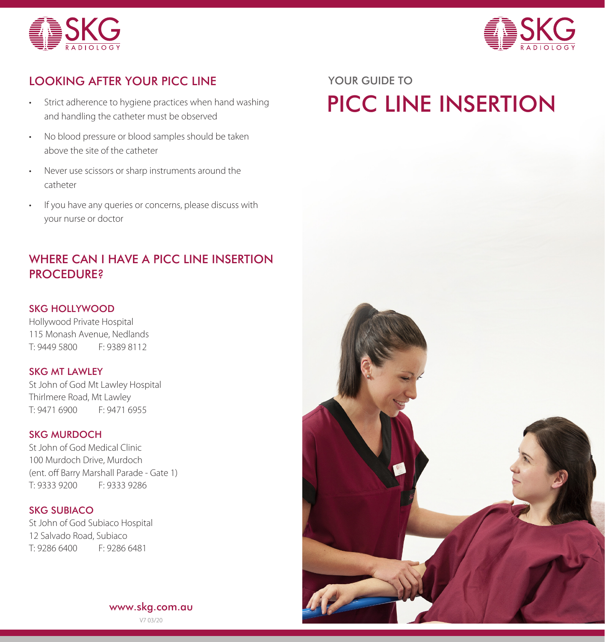



# LOOKING AFTER YOUR PICC LINE YOUR GUIDE TO

- Strict adherence to hygiene practices when hand washing and handling the catheter must be observed
- No blood pressure or blood samples should be taken above the site of the catheter
- Never use scissors or sharp instruments around the catheter
- If you have any queries or concerns, please discuss with your nurse or doctor

## WHERE CAN I HAVE A PICC LINE INSERTION PROCEDURE?

### SKG HOLLYWOOD

Hollywood Private Hospital 115 Monash Avenue, Nedlands T: 9449 5800 F: 9389 8112

### SKG MT LAWLEY

St John of God Mt Lawley Hospital Thirlmere Road, Mt Lawley T: 9471 6900 F: 9471 6955

#### SKG MURDOCH

St John of God Medical Clinic 100 Murdoch Drive, Murdoch (ent. off Barry Marshall Parade - Gate 1) T: 9333 9200 F: 9333 9286

### SKG SUBIACO

St John of God Subiaco Hospital 12 Salvado Road, Subiaco T: 9286 6400 F: 9286 6481

# PICC LINE INSERTION



www.skg.com.au V7 03/20